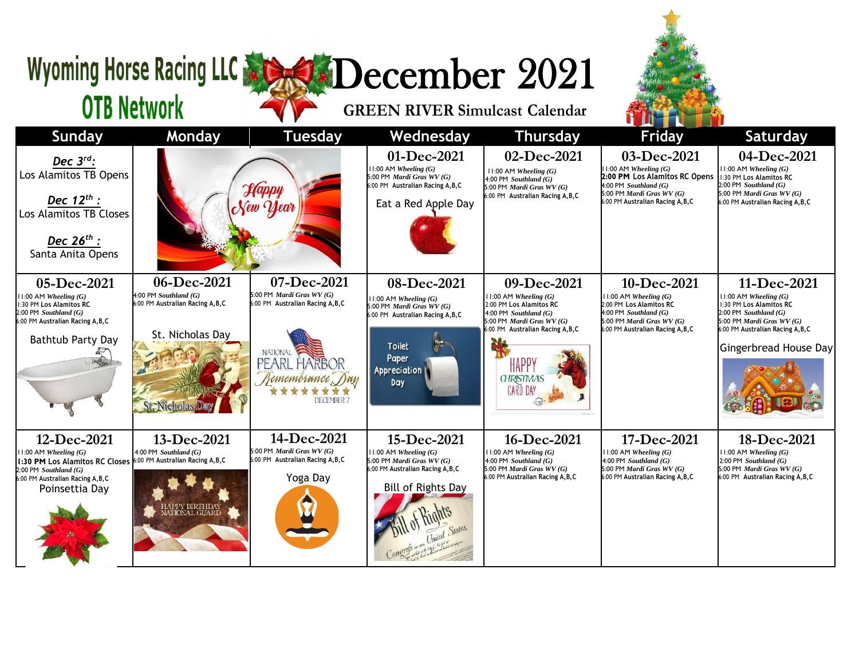## Wyoming Horse Racing LLC & SCORE December 2021

**OTB Network** 

## **GREEN RIVER Simulcast Calendar**



| <b>Sunday</b>                                                                                                                                                                                    | Monday                                                                                                                     | <b>Tuesday</b>                                                                                                                                            | Wednesday                                                                                                                                                   | <b>Thursday</b>                                                                                                                                                                                            | <b>Friday</b>                                                                                                                                                                   | <b>Saturday</b>                                                                                                                                                                              |
|--------------------------------------------------------------------------------------------------------------------------------------------------------------------------------------------------|----------------------------------------------------------------------------------------------------------------------------|-----------------------------------------------------------------------------------------------------------------------------------------------------------|-------------------------------------------------------------------------------------------------------------------------------------------------------------|------------------------------------------------------------------------------------------------------------------------------------------------------------------------------------------------------------|---------------------------------------------------------------------------------------------------------------------------------------------------------------------------------|----------------------------------------------------------------------------------------------------------------------------------------------------------------------------------------------|
| Dec $3^{rd}$ :<br>Los Alamitos TB Opens<br>Dec $12^{th}$ :<br>Los Alamitos TB Closes<br>Dec 26 <sup>th</sup> :<br>Santa Anita Opens                                                              |                                                                                                                            | Happy                                                                                                                                                     | 01-Dec-2021<br>11:00 AM Wheeling (G)<br>5:00 PM Mardi Gras WV (G)<br>6:00 PM Australian Racing A, B, C<br>Eat a Red Apple Day                               | 02-Dec-2021<br>11:00 AM Wheeling (G)<br>$4:00$ PM Southland $(G)$<br>5:00 PM Mardi Gras WV (G)<br>6:00 PM Australian Racing A.B.C                                                                          | 03-Dec-2021<br>$11:00$ AM Wheeling $(G)$<br>2:00 PM Los Alamitos RC Opens<br>4:00 PM Southland $(G)$<br>$5:00$ PM <i>Mardi Gras WV</i> (G)<br>6:00 PM Australian Racing A, B, C | 04-Dec-2021<br>$11:00$ AM Wheeling $(G)$<br>1:30 PM Los Alamitos RC<br>$2:00$ PM Southland $(G)$<br>5:00 PM Mardi Gras $WV(G)$<br>6:00 PM Australian Racing A, B, C                          |
| 05-Dec-2021<br>$11:00$ AM Wheeling $(G)$<br>1:30 PM Los Alamitos RC<br>$2:00$ PM Southland $(G)$<br>6:00 PM Australian Racing A.B.C<br>Bathtub Party Day                                         | 06-Dec-2021<br>4:00 PM Southland $(G)$<br>6:00 PM Australian Racing A, B, C<br>St. Nicholas Day<br><b>St. Nicholas Day</b> | 07-Dec-2021<br>5:00 PM Mardi Gras $WV(G)$<br>6:00 PM Australian Racing A, B, C<br><b>NATIONAL</b><br>PEARL HARBOR<br>Remembrance Day<br><b>DECEMBER 7</b> | 08-Dec-2021<br>$11:00$ AM Wheeling $(G)$<br>5:00 PM Mardi Gras WV (G)<br>6:00 PM Australian Racing A, B, C<br><b>Toilet</b><br>Paper<br>Appreciation<br>Day | 09-Dec-2021<br>$11:00$ AM Wheeling $(G)$<br>2:00 PM Los Alamitos RC<br>$4:00$ PM Southland $(G)$<br>5:00 PM Mardi Gras WV (G)<br>6:00 PM Australian Racing A, B, C<br>HAPF<br><b>GHRISTMAS</b><br>CARD DAY | 10-Dec-2021<br>$11:00$ AM Wheeling $(G)$<br>2:00 PM Los Alamitos RC<br>4:00 PM Southland $(G)$<br>5:00 PM <i>Mardi Gras WV</i> $(G)$<br>6:00 PM Australian Racing A, B, C       | 11-Dec-2021<br>$11:00$ AM Wheeling $(G)$<br>1:30 PM Los Alamitos RC<br>$2:00$ PM Southland $(G)$<br>5:00 PM Mardi Gras $WV(G)$<br>6:00 PM Australian Racing A, B, C<br>Gingerbread House Day |
| 12-Dec-2021<br>$11:00$ AM Wheeling $(G)$<br>1:30 PM Los Alamitos RC Closes 6:00 PM Australian Racing A, B, C<br>$2:00$ PM Southland $(G)$<br>6:00 PM Australian Racing A, B, C<br>Poinsettia Day | 13-Dec-2021<br>4:00 PM Southland $(G)$<br>IAPPY BIRTHDAY<br>VATIONAL GUARD                                                 | 14-Dec-2021<br>5:00 PM Mardi Gras $WV(G)$<br>6:00 PM Australian Racing A, B, C<br>Yoga Day                                                                | 15-Dec-2021<br>$11:00$ AM Wheeling $(G)$<br>5:00 PM Mardi Gras WV (G)<br>6:00 PM Australian Racing A, B, C<br><b>Bill of Rights Day</b>                     | 16-Dec-2021<br>$11:00$ AM Wheeling $(G)$<br>4:00 PM Southland (G)<br>5:00 PM Mardi Gras $WV(G)$<br>6:00 PM Australian Racing A, B, C                                                                       | 17-Dec-2021<br>$11:00$ AM Wheeling $(G)$<br>4:00 PM Southland $(G)$<br>5:00 PM <i>Mardi Gras WV</i> $(G)$<br>6:00 PM Australian Racing A, B, C                                  | 18-Dec-2021<br>$11:00$ AM Wheeling $(G)$<br>$2:00$ PM Southland $(G)$<br>5:00 PM Mardi Gras $WV(G)$<br>6:00 PM Australian Racing A, B, C                                                     |